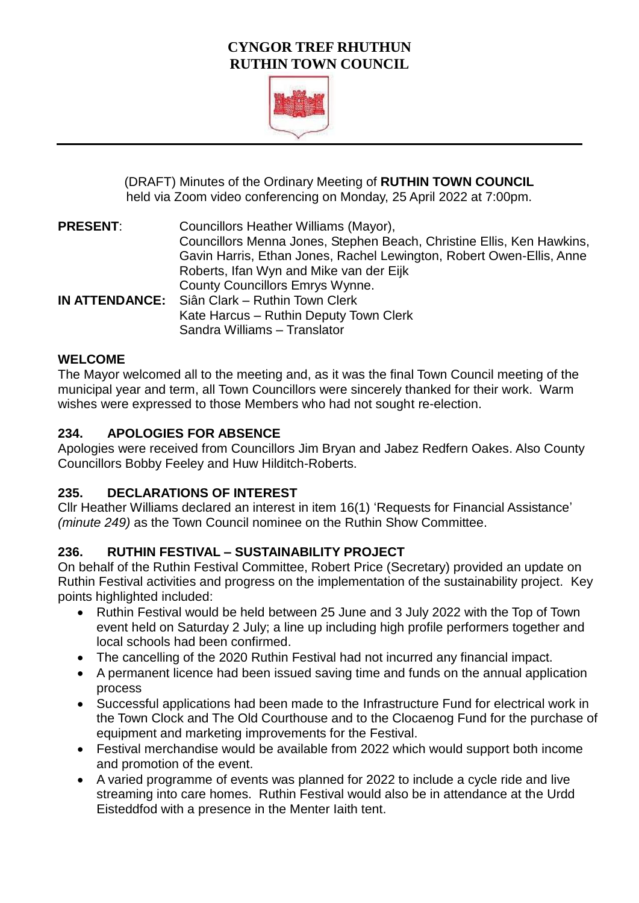## **CYNGOR TREF RHUTHUN RUTHIN TOWN COUNCIL**



(DRAFT) Minutes of the Ordinary Meeting of **RUTHIN TOWN COUNCIL**  held via Zoom video conferencing on Monday, 25 April 2022 at 7:00pm.

**PRESENT**: Councillors Heather Williams (Mayor), Councillors Menna Jones, Stephen Beach, Christine Ellis, Ken Hawkins, Gavin Harris, Ethan Jones, Rachel Lewington, Robert Owen-Ellis, Anne Roberts, Ifan Wyn and Mike van der Eijk County Councillors Emrys Wynne. **IN ATTENDANCE:** Siân Clark – Ruthin Town Clerk Kate Harcus – Ruthin Deputy Town Clerk Sandra Williams – Translator

#### **WELCOME**

The Mayor welcomed all to the meeting and, as it was the final Town Council meeting of the municipal year and term, all Town Councillors were sincerely thanked for their work. Warm wishes were expressed to those Members who had not sought re-election.

## **234. APOLOGIES FOR ABSENCE**

Apologies were received from Councillors Jim Bryan and Jabez Redfern Oakes. Also County Councillors Bobby Feeley and Huw Hilditch-Roberts.

## **235. DECLARATIONS OF INTEREST**

Cllr Heather Williams declared an interest in item 16(1) 'Requests for Financial Assistance' *(minute 249)* as the Town Council nominee on the Ruthin Show Committee.

# **236. RUTHIN FESTIVAL – SUSTAINABILITY PROJECT**

On behalf of the Ruthin Festival Committee, Robert Price (Secretary) provided an update on Ruthin Festival activities and progress on the implementation of the sustainability project. Key points highlighted included:

- Ruthin Festival would be held between 25 June and 3 July 2022 with the Top of Town event held on Saturday 2 July; a line up including high profile performers together and local schools had been confirmed.
- The cancelling of the 2020 Ruthin Festival had not incurred any financial impact.
- A permanent licence had been issued saving time and funds on the annual application process
- Successful applications had been made to the Infrastructure Fund for electrical work in the Town Clock and The Old Courthouse and to the Clocaenog Fund for the purchase of equipment and marketing improvements for the Festival.
- Festival merchandise would be available from 2022 which would support both income and promotion of the event.
- A varied programme of events was planned for 2022 to include a cycle ride and live streaming into care homes. Ruthin Festival would also be in attendance at the Urdd Eisteddfod with a presence in the Menter Iaith tent.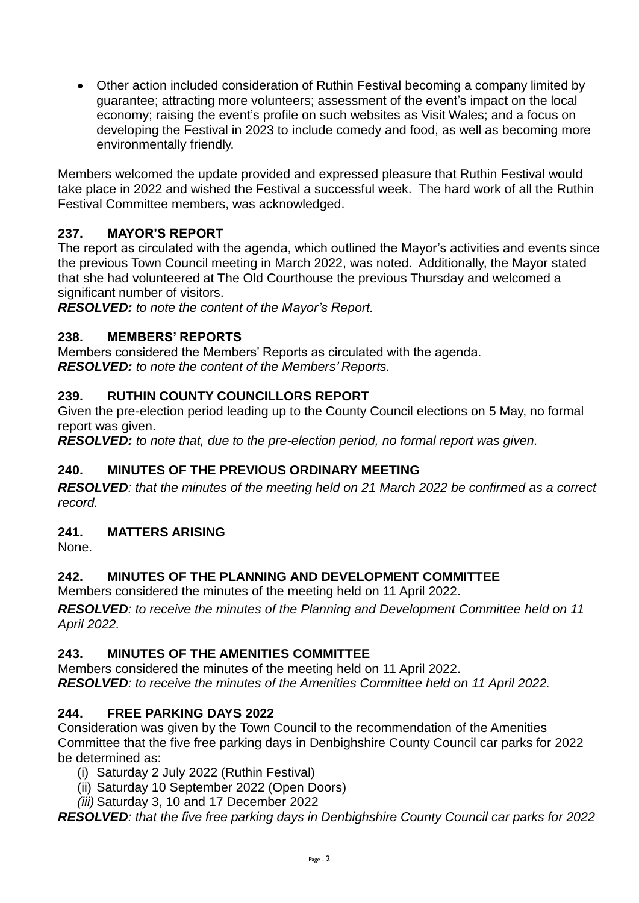Other action included consideration of Ruthin Festival becoming a company limited by guarantee; attracting more volunteers; assessment of the event's impact on the local economy; raising the event's profile on such websites as Visit Wales; and a focus on developing the Festival in 2023 to include comedy and food, as well as becoming more environmentally friendly.

Members welcomed the update provided and expressed pleasure that Ruthin Festival would take place in 2022 and wished the Festival a successful week. The hard work of all the Ruthin Festival Committee members, was acknowledged.

## **237. MAYOR'S REPORT**

The report as circulated with the agenda, which outlined the Mayor's activities and events since the previous Town Council meeting in March 2022, was noted. Additionally, the Mayor stated that she had volunteered at The Old Courthouse the previous Thursday and welcomed a significant number of visitors.

*RESOLVED: to note the content of the Mayor's Report.*

#### **238. MEMBERS' REPORTS**

Members considered the Members' Reports as circulated with the agenda. *RESOLVED: to note the content of the Members' Reports.*

## **239. RUTHIN COUNTY COUNCILLORS REPORT**

Given the pre-election period leading up to the County Council elections on 5 May, no formal report was given.

*RESOLVED: to note that, due to the pre-election period, no formal report was given.*

## **240. MINUTES OF THE PREVIOUS ORDINARY MEETING**

*RESOLVED: that the minutes of the meeting held on 21 March 2022 be confirmed as a correct record.* 

#### **241. MATTERS ARISING**

None.

## **242. MINUTES OF THE PLANNING AND DEVELOPMENT COMMITTEE**

Members considered the minutes of the meeting held on 11 April 2022.

*RESOLVED: to receive the minutes of the Planning and Development Committee held on 11 April 2022.* 

## **243. MINUTES OF THE AMENITIES COMMITTEE**

Members considered the minutes of the meeting held on 11 April 2022. *RESOLVED: to receive the minutes of the Amenities Committee held on 11 April 2022.* 

## **244. FREE PARKING DAYS 2022**

Consideration was given by the Town Council to the recommendation of the Amenities Committee that the five free parking days in Denbighshire County Council car parks for 2022 be determined as:

- (i) Saturday 2 July 2022 (Ruthin Festival)
- (ii) Saturday 10 September 2022 (Open Doors)
- *(iii)* Saturday 3, 10 and 17 December 2022

*RESOLVED: that the five free parking days in Denbighshire County Council car parks for 2022*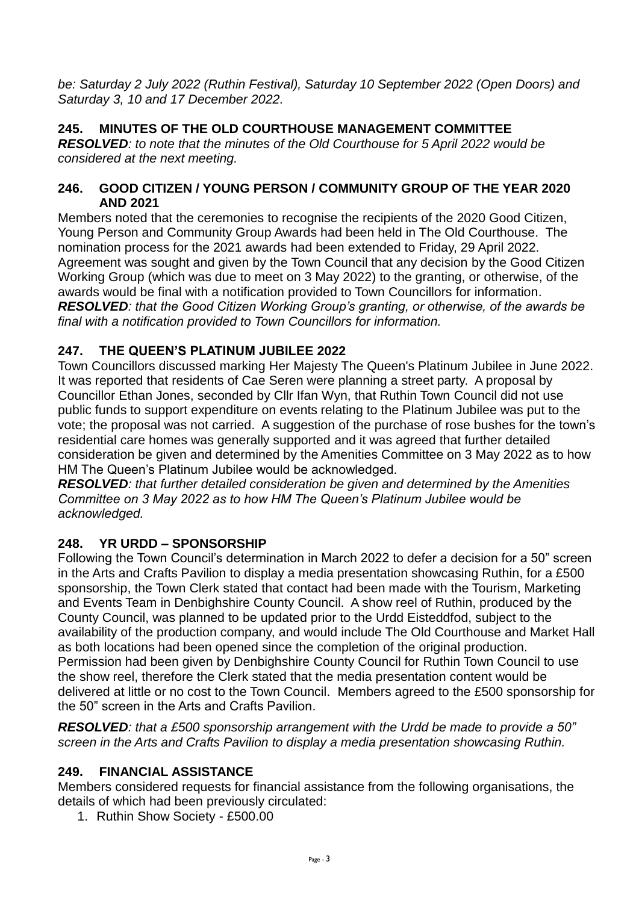*be: Saturday 2 July 2022 (Ruthin Festival), Saturday 10 September 2022 (Open Doors) and Saturday 3, 10 and 17 December 2022.*

# **245. MINUTES OF THE OLD COURTHOUSE MANAGEMENT COMMITTEE**

*RESOLVED: to note that the minutes of the Old Courthouse for 5 April 2022 would be considered at the next meeting.*

#### **246. GOOD CITIZEN / YOUNG PERSON / COMMUNITY GROUP OF THE YEAR 2020 AND 2021**

Members noted that the ceremonies to recognise the recipients of the 2020 Good Citizen. Young Person and Community Group Awards had been held in The Old Courthouse. The nomination process for the 2021 awards had been extended to Friday, 29 April 2022. Agreement was sought and given by the Town Council that any decision by the Good Citizen Working Group (which was due to meet on 3 May 2022) to the granting, or otherwise, of the awards would be final with a notification provided to Town Councillors for information. *RESOLVED: that the Good Citizen Working Group's granting, or otherwise, of the awards be final with a notification provided to Town Councillors for information.*

# **247. THE QUEEN'S PLATINUM JUBILEE 2022**

Town Councillors discussed marking Her Majesty The Queen's Platinum Jubilee in June 2022. It was reported that residents of Cae Seren were planning a street party. A proposal by Councillor Ethan Jones, seconded by Cllr Ifan Wyn, that Ruthin Town Council did not use public funds to support expenditure on events relating to the Platinum Jubilee was put to the vote; the proposal was not carried. A suggestion of the purchase of rose bushes for the town's residential care homes was generally supported and it was agreed that further detailed consideration be given and determined by the Amenities Committee on 3 May 2022 as to how HM The Queen's Platinum Jubilee would be acknowledged.

*RESOLVED: that further detailed consideration be given and determined by the Amenities Committee on 3 May 2022 as to how HM The Queen's Platinum Jubilee would be acknowledged.*

## **248. YR URDD – SPONSORSHIP**

Following the Town Council's determination in March 2022 to defer a decision for a 50" screen in the Arts and Crafts Pavilion to display a media presentation showcasing Ruthin, for a £500 sponsorship, the Town Clerk stated that contact had been made with the Tourism, Marketing and Events Team in Denbighshire County Council. A show reel of Ruthin, produced by the County Council, was planned to be updated prior to the Urdd Eisteddfod, subject to the availability of the production company, and would include The Old Courthouse and Market Hall as both locations had been opened since the completion of the original production. Permission had been given by Denbighshire County Council for Ruthin Town Council to use the show reel, therefore the Clerk stated that the media presentation content would be delivered at little or no cost to the Town Council. Members agreed to the £500 sponsorship for the 50" screen in the Arts and Crafts Pavilion.

*RESOLVED: that a £500 sponsorship arrangement with the Urdd be made to provide a 50" screen in the Arts and Crafts Pavilion to display a media presentation showcasing Ruthin.*

## **249. FINANCIAL ASSISTANCE**

Members considered requests for financial assistance from the following organisations, the details of which had been previously circulated:

1. Ruthin Show Society - £500.00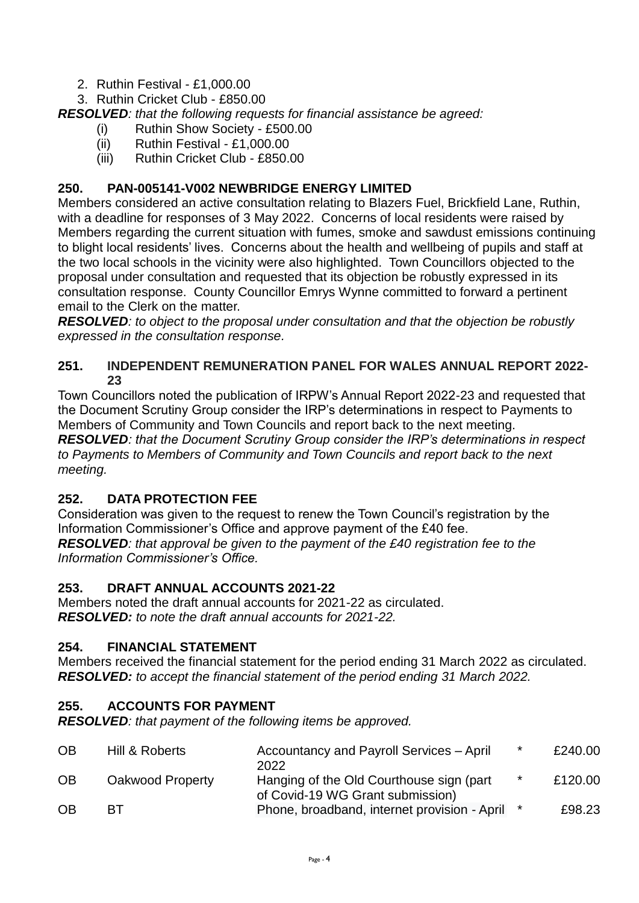- 2. Ruthin Festival £1,000.00
- 3. Ruthin Cricket Club £850.00

*RESOLVED: that the following requests for financial assistance be agreed:*

- (i) Ruthin Show Society £500.00
- (ii) Ruthin Festival £1,000.00
- (iii) Ruthin Cricket Club £850.00

## **250. PAN-005141-V002 NEWBRIDGE ENERGY LIMITED**

Members considered an active consultation relating to Blazers Fuel, Brickfield Lane, Ruthin, with a deadline for responses of 3 May 2022. Concerns of local residents were raised by Members regarding the current situation with fumes, smoke and sawdust emissions continuing to blight local residents' lives. Concerns about the health and wellbeing of pupils and staff at the two local schools in the vicinity were also highlighted. Town Councillors objected to the proposal under consultation and requested that its objection be robustly expressed in its consultation response. County Councillor Emrys Wynne committed to forward a pertinent email to the Clerk on the matter.

*RESOLVED: to object to the proposal under consultation and that the objection be robustly expressed in the consultation response.*

### **251. INDEPENDENT REMUNERATION PANEL FOR WALES ANNUAL REPORT 2022- 23**

Town Councillors noted the publication of IRPW's Annual Report 2022-23 and requested that the Document Scrutiny Group consider the IRP's determinations in respect to Payments to Members of Community and Town Councils and report back to the next meeting.

*RESOLVED: that the Document Scrutiny Group consider the IRP's determinations in respect to Payments to Members of Community and Town Councils and report back to the next meeting.*

# **252. DATA PROTECTION FEE**

Consideration was given to the request to renew the Town Council's registration by the Information Commissioner's Office and approve payment of the £40 fee. *RESOLVED: that approval be given to the payment of the £40 registration fee to the Information Commissioner's Office.*

## **253. DRAFT ANNUAL ACCOUNTS 2021-22**

Members noted the draft annual accounts for 2021-22 as circulated. *RESOLVED: to note the draft annual accounts for 2021-22.*

# **254. FINANCIAL STATEMENT**

Members received the financial statement for the period ending 31 March 2022 as circulated. *RESOLVED: to accept the financial statement of the period ending 31 March 2022.*

## **255. ACCOUNTS FOR PAYMENT**

*RESOLVED: that payment of the following items be approved.*

| <b>OB</b> | Hill & Roberts   | Accountancy and Payroll Services - April<br>2022                              | $\star$ | £240.00 |
|-----------|------------------|-------------------------------------------------------------------------------|---------|---------|
| <b>OB</b> | Oakwood Property | Hanging of the Old Courthouse sign (part)<br>of Covid-19 WG Grant submission) | *       | £120.00 |
| <b>OB</b> | <b>BT</b>        | Phone, broadband, internet provision - April *                                |         | £98.23  |